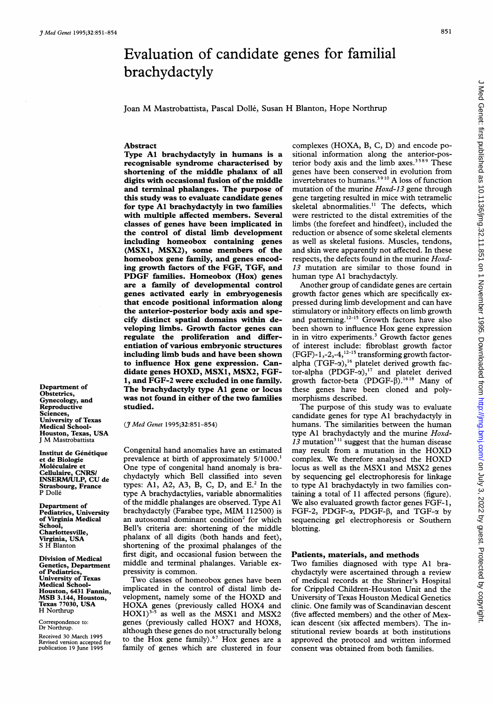# Evaluation of candidate genes for familial brachydactyly

Joan M Mastrobattista, Pascal Dolle, Susan H Blanton, Hope Northrup

### Abstract

Type Al brachydactyly in humans is a recognisable syndrome characterised by shortening of the middle phalanx of all digits with occasional fusion of the middle and terminal phalanges. The purpose of this study was to evaluate candidate genes for type Al brachydactyly in two families with multiple affected members. Several classes of genes have been implicated in the control of distal limb development including homeobox containing genes (MSXI, MSX2), some members of the homeobox gene family, and genes encoding growth factors of the FGF, TGF, and PDGF families. Homeobox (Hox) genes are a family of developmental control genes activated early in embryogenesis that encode positional information along the anterior-posterior body axis and specify distinct spatial domains within developing limbs. Growth factor genes can regulate the proliferation and differentiation of various embryonic structures including limb buds and have been shown to influence Hox gene expression. Candidate genes HOXD, MSX1, MSX2, FGF-1, and FGF-2 were excluded in one family. The brachydactyly type Al gene or locus was not found in either of the two families studied.

Department of Obstetrics, Gynecology, and Reproductive Sciences, University of Texas Medical School-Houston, Texas, USA <sup>J</sup> M Mastrobattista

Institut de Génétique et de Biologie Moléculaire et Cellulaire, CNRSI INSERMIULP, CU de Strasbourg, France P Dolle

Department of Pediatrics, University of Virginia Medical School, Charlottesville, Virginia, USA <sup>S</sup> H Blanton

Division of Medical Genetics, Department of Pediatrics, University of Texas Medical School-Houston, 6431 Fannin, MSB 3.144, Houston, Texas 77030, USA H Northrup

Correspondence to: Dr Northrup.

Received 30 March 1995 Revised version accepted for publication 19 June 1995 (J Med Genet 1995;32:851-854)

Congenital hand anomalies have an estimated prevalence at birth of approximately 5/1000.<sup>1</sup> One type of congenital hand anomaly is brachydactyly which Bell classified into seven types: A1, A2, A3, B, C, D, and  $E^2$  In the type A brachydactylies, variable abnormalities of the middle phalanges are observed. Type Al brachydactyly (Farabee type, MIM 112500) is an autosomal dominant condition<sup>2</sup> for which Bell's criteria are: shortening of the middle phalanx of all digits (both hands and feet), shortening of the proximal phalanges of the first digit, and occasional fusion between the middle and terminal phalanges. Variable expressivity is common.

Two classes of homeobox genes have been implicated in the control of distal limb development, namely some of the HOXD and HOXA genes (previously called HOX4 and  $HOX1)^{3-5}$  as well as the MSX1 and MSX2 genes (previously called HOX7 and HOX8, although these genes do not structurally belong to the Hox gene family).67 Hox genes are <sup>a</sup> family of genes which are clustered in four

complexes (HOXA, B, C, D) and encode positional information along the anterior-posterior body axis and the limb axes.<sup>3589</sup> These genes have been conserved in evolution from invertebrates to humans.39<sup>10</sup> A loss of function mutation of the murine Hoxd-13 gene through gene targeting resulted in mice with tetramelic skeletal abnormalities.<sup>11</sup> The defects, which were restricted to the distal extremities of the limbs (the forefeet and hindfeet), included the reduction or absence of some skeletal elements as well as skeletal fusions. Muscles, tendons, and skin were apparently not affected. In these respects, the defects found in the murine Hoxd-13 mutation are similar to those found in human type Al brachydactyly.

Another group of candidate genes are certain growth factor genes which are specifically expressed during limb development and can have stimulatory or inhibitory effects on limb growth and patterning. $12-15$  Growth factors have also been shown to influence Hox gene expression in in vitro experiments.<sup>3</sup> Growth factor genes of interest include: fibroblast growth factor  $(FGF)-1,-2,-4,$ <sup>12-15</sup> transforming growth factoralpha  $(TGF-\alpha)$ ,<sup>16</sup> platelet derived growth factor-alpha  $(PDGF-\alpha)$ ,<sup>17</sup> and platelet derived growth factor-beta (PDGF- $\overline{\beta}$ ).<sup>1618</sup> Many of these genes have been cloned and polymorphisms described.

The purpose of this study was to evaluate candidate genes for type Al brachydactyly in humans. The similarities between the human type Al brachydactyly and the murine Hoxd-13 mutation<sup>311</sup> suggest that the human disease may result from <sup>a</sup> mutation in the HOXD complex. We therefore analysed the HOXD locus as well as the MSX1 and MSX2 genes by sequencing gel electrophoresis for linkage to type Al brachydactyly in two families containing a total of 11 affected persons (figure). We also evaluated growth factor genes FGF-1, FGF-2, PDGF- $\alpha$ , PDGF- $\beta$ , and TGF- $\alpha$  by sequencing gel electrophoresis or Southern blotting.

## Patients, materials, and methods

Two families diagnosed with type Al brachydactyly were ascertained through a review of medical records at the Shriner's Hospital for Crippled Children-Houston Unit and the University of Texas Houston Medical Genetics clinic. One family was of Scandinavian descent (five affected members) and the other of Mexican descent (six affected members). The institutional review boards at both institutions approved the protocol and written informed consent was obtained from both families.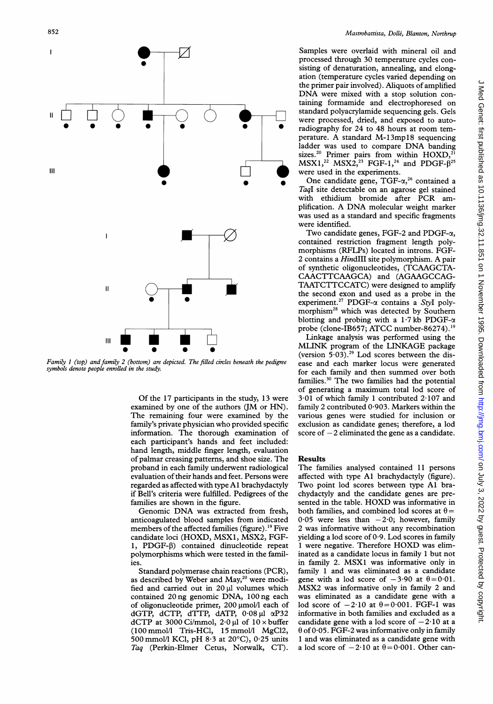

Family <sup>1</sup> (top) and family 2 (bottom) are depicted. The filled circles beneath the pedigree symbols denote people enrolled in the study.

Of the 17 participants in the study, 13 were examined by one of the authors (JM or HN). The remaining four were examined by the family's private physician who provided specific information. The thorough examination of each participant's hands and feet included: hand length, middle finger length, evaluation of palmar creasing patterns, and shoe size. The proband in each family underwent radiological evaluation of their hands and feet. Persons were regarded as affected with type Al brachydactyly if Bell's criteria were fulfilled. Pedigrees of the families are shown in the figure.

Genomic DNA was extracted from fresh, anticoagulated blood samples from indicated members of the affected families (figure).<sup>19</sup> Five candidate loci (HOXD, MSX1, MSX2, FGF-1, PDGF-P) contained dinucleotide repeat polymorphisms which were tested in the families.

Standard polymerase chain reactions (PCR), as described by Weber and May,<sup>20</sup> were modified and carried out in  $20 \mu l$  volumes which contained 20 ng genomic DNA, 100 ng each of oligonucleotide primer,  $200 \mu$ mol/l each of dGTP, dCTP, dTTP, dATP,  $0.08 \mu l$   $\alpha P32$ dCTP at 3000 Ci/mmol,  $2.0 \mu$ l of  $10 \times$  buffer (100 mmol/l Tris-HCl, 15 mmol/l MgC12, 500 mmol/l KC1, pH 8-3 at 20°C), 0-25 units Taq (Perkin-Elmer Cetus, Norwalk, CT).

Samples were overlaid with mineral oil and processed through 30 temperature cycles consisting of denaturation, annealing, and elongation (temperature cycles varied depending on the primer pair involved). Aliquots of amplified DNA were mixed with <sup>a</sup> stop solution containing formamide and electrophoresed on standard polyacrylamide sequencing gels. Gels were processed, dried, and exposed to autoradiography for 24 to 48 hours at room temperature. A standard M-13mp18 sequencing ladder was used to compare DNA banding  $2^{20}$  Primer pairs from within HOXD,<sup>20</sup> MSX1,<sup>22</sup> MSX2,<sup>23</sup> FGF-1,<sup>24</sup> and PDGF- $\hat{\beta}^{25}$ were used in the experiments.

One candidate gene,  $TGF-\alpha$ <sup>26</sup> contained a TaqI site detectable on an agarose gel stained with ethidium bromide after PCR amplification. A DNA molecular weight marker was used as a standard and specific fragments were identified.

Two candidate genes, FGF-2 and PDGF- $\alpha$ , contained restriction fragment length polymorphisms (RFLPs) located in introns. FGF-<sup>2</sup> contains <sup>a</sup> HindIII site polymorphism. A pair of synthetic oligonucleotides, (TCAAGCTA-CAACTTCAAGCA) and (AGAAGCCAG-TAATCTTCCATC) were designed to amplify the second exon and used as a probe in the experiment.<sup>27</sup> PDGF- $\alpha$  contains a Styl polymorphism28 which was detected by Southern blotting and probing with a 1.7 kb PDGF- $\alpha$ probe (clone-IB657; ATCC number-86274).<sup>19</sup>

Linkage analysis was performed using the MLINK program of the LINKAGE package (version  $5.03$ ).<sup>29</sup> Lod scores between the disease and each marker locus were generated for each family and then summed over both families.30 The two families had the potential of generating <sup>a</sup> maximum total lod score of  $3.01$  of which family 1 contributed  $2.107$  and family 2 contributed  $0.903$ . Markers within the various genes were studied for inclusion or exclusion as candidate genes; therefore, a lod score of  $-2$  eliminated the gene as a candidate.

## Results

The families analysed contained 11 persons affected with type Al brachydactyly (figure). Two point lod scores between type Al brachydactyly and the candidate genes are presented in the table. HOXD was informative in both families, and combined lod scores at  $\theta$  = 0.05 were less than  $-2.0$ ; however, family 2 was informative without any recombination yielding a lod score of  $0.9$ . Lod scores in family <sup>1</sup> were negative. Therefore HOXD was eliminated as a candidate locus in family <sup>1</sup> but not in family 2. MSXl was informative only in family <sup>1</sup> and was eliminated as a candidate gene with a lod score of  $-3.90$  at  $\theta = 0.01$ . MSX2 was informative only in family <sup>2</sup> and was eliminated as a candidate gene with a lod score of  $-2.10$  at  $\theta = 0.001$ . FGF-1 was informative in both families and excluded as a candidate gene with a lod score of  $-2.10$  at a  $\theta$  of 0.05. FGF-2 was informative only in family <sup>1</sup> and was eliminated as a candidate gene with a lod score of  $-2.10$  at  $\theta = 0.001$ . Other can-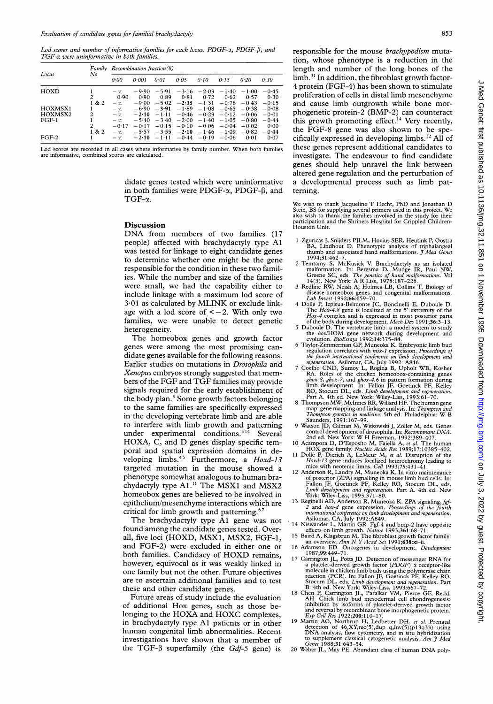Lod scores and number of informative families for each locus. PDGF- $x$ , PDGF- $\beta$ , and TGF-x were uninformative in both families.

| Locus                         | Family              | Recombination fraction( $\theta$ )           |                                          |                                          |                                          |                                          |                                          |                                          |                                       |
|-------------------------------|---------------------|----------------------------------------------|------------------------------------------|------------------------------------------|------------------------------------------|------------------------------------------|------------------------------------------|------------------------------------------|---------------------------------------|
|                               | No                  | 0.00                                         | 0.001                                    | 0.01                                     | 0.05                                     | 0.10                                     | 0.15                                     | 0.20                                     | 0.30                                  |
| HOXD                          | 2<br>1 & 2          | $-\gamma$<br>0.90<br>$-\chi$                 | $-9.90$<br>0.90<br>$-9.00$               | $-5.91$<br>0.89<br>$-5.02$               | $-3.16$<br>0.81<br>$-2.35$               | $-2.03$<br>0.72<br>$-1.31$               | $-1.40$<br>0.62<br>$-0.78$               | $-1.00$<br>0.57<br>$-0.43$               | $-0.45$<br>0.30<br>$-0.15$            |
| HOXMSX1<br>HOXMSX2<br>$FGF-1$ | $\mathfrak{D}$<br>2 | $-\tau$<br>$-\alpha$<br>$-\infty$<br>$-0.17$ | $-6.90$<br>$-2.10$<br>$-5.40$<br>$-0.17$ | $-3.91$<br>$-1.11$<br>$-3.40$<br>$-0.15$ | $-1.89$<br>$-0.46$<br>$-2.00$<br>$-0.10$ | $-1.08$<br>$-0.23$<br>$-1.40$<br>$-0.06$ | $-0.65$<br>$-0.12$<br>$-1.05$<br>$-0.04$ | $-0.38$<br>$-0.06$<br>$-0.80$<br>$-0.02$ | $-0.08$<br>$-0.01$<br>$-0.44$<br>0.00 |
| $FGF-2$                       | 1 & 2               | $-\infty$<br>$-\infty$                       | $-5.57$<br>$-2.10$                       | $-3.55$<br>$-1.11$                       | $-2.10$<br>$-0.44$                       | $-1.46$<br>$-0.19$                       | $-1.09$<br>$-0.06$                       | $-0.82$<br>0.01                          | $-0.44$<br>0.07                       |

Lod scores are recorded in all cases where informative by family number. When both families are informative, combined scores are calculated.

> didate genes tested which were uninformative in both families were PDGF- $\alpha$ , PDGF- $\beta$ , and TGF- $\alpha$ .

#### Discussion

DNA from members of two families (17 people) affected with brachydactyly type Al was tested for linkage to eight candidate genes to determine whether one might be the gene responsible for the condition in these two families. While the number and size of the families were small, we had the capability either to include linkage with <sup>a</sup> maximum lod score of 3-01 as calculated by MLINK or exclude linkage with a lod score of  $<-2$ . With only two families, we were unable to detect genetic heterogeneity.

The homeobox genes and growth factor genes were among the most promising candidate genes available for the following reasons. Earlier studies on mutations in Drosophila and Xenopus embryos strongly suggested that members of the FGF and TGF families may provide signals required for the early establishment of the body plan.<sup>3</sup> Some growth factors belonging to the same families are specifically expressed in the developing vertebrate limb and are able to interfere with limb growth and patterning under experimental conditions.<sup>314</sup> Several HOXA, C, and D genes display specific temporal and spatial expression domains in developing limbs.<sup>45</sup> Furthermore, a Hoxd-13 targeted mutation in the mouse showed a phenotype somewhat analogous to human brachydactyly type A1.<sup>11</sup> The MSX1 and MSX2 homeobox genes are believed to be involved in epithelium/mesenchyme interactions which are critical for limb growth and patterning.<sup>6</sup>

The brachydactyly type Al gene was not found among the candidate genes tested. Overall, five loci (HOXD, MSX1, MSX2, FGF-1, and FGF-2) were excluded in either one or both families. Candidacy of HOXD remains, however, equivocal as it was weakly linked in one family but not the other. Future objectives are to ascertain additional families and to test these and other candidate genes.

Future areas of study include the evaluation of additional Hox genes, such as those belonging to the HOXA and HOXC complexes, in brachydactyly type Al patients or in other human congenital limb abnormalities. Recent investigations have shown that <sup>a</sup> member of the TGF- $\beta$  superfamily (the *Gdf-5* gene) is

responsible for the mouse brachypodism mutation, whose phenotype is a reduction in the length and number of the long bones of the  $limb.<sup>31</sup>$  In addition, the fibroblast growth factor-4 protein (FGF-4) has been shown to stimulate proliferation of cells in distal limb mesenchyme and cause limb outgrowth while bone morphogenetic protein-2 (BMP-2) can counteract this growth promoting effect.<sup>14</sup> Very recently, the FGF-8 gene was also shown to be specifically expressed in developing limbs.<sup>32</sup> All of these genes represent additional candidates to investigate. The endeavour to find candidate genes should help unravel the link between altered gene regulation and the perturbation of a developmental process such as limb patterning.

We wish to thank Jacqueline T Hecht, PhD and Jonathan D Stein, BS for supplying several primers used in this project. We also wish to thank the families involved in the study for their participation and the Shriners Hospital for Crippled Childrenparticipum.<br>Houston Unit.

- 1 Zguricas J, Snijders PJLM, Hovius SER, Heutink P, Oostra<br>BA, Lindhout D. Phenotypic analysis of triphalangeal<br>thumb and associated hand malformations. *J Med Genet* 1994;31:462
- 2 Temtamy S, McKusick V. Brachydactyly as an isolated malformation. In: Bergsma D, Mudge JR, Paul NW,<br>Greene SC, eds. The genetics of hand malformations. Vol<br>14(3). New York: A R Liss, 1978:187-226.<br>3 Redline RW, Neish A, Holmes LB, Collins T. Biology of
- disease-homeobox genes and congenital malformations.<br>Lab Invest 1992;66:659-70.
- Lab Invest 1992;66:659–70.<br>
4 Dollé P, Izpisua-Belmonte JC, Boncinelli E, Duboule D.<br>
The Hox-4.8 gene is localized at the 5' extremity of the<br>
Hox-4 complex and is expressed in most posterior parts<br>
of the body during de
- 
- the *hox/HOM* gene network during development and<br>evolution. *BioEssays* 1992;14:375-84.<br>6 Taylor-Zimmerman GP, Muneoka K. Embryonic limb bud<br>regulation correlates with *msx-1* expression. *Proceedings of*<br>the fourth inter
- *ghox-8, ghox-7,* and *ghox-4.6* in pattern formation during<br>limb development. In: Fallon JF, Goetinck PF, Kelley<br>RO, Stocum DL, eds. *Limb development and regeneration*,<br>Part A. 4th ed. New York: Wiley-Liss, 1993:61-70.<br>
- 
- 
- 
- 
- map: gene mapping and linkage analysis. In: *Thompson and*<br> *Thompson genetics in medicine*. 5th ed. Philadelphia: W B<br>
Saunders, 1991:167-99.<br>
9 Watson JD, Gilman M, Witkowski J, Zoller M, eds. Genes<br>
control development
- 2 and *hox-d* gene expression. Proceedings of the fourth<br>
international conference on limb development and regeneration.<br>
Asilomar, CA, July 1992:A849.<br>
14 Niswander L, Martin GR. Fgf-4 and bmp-2 have opposite<br>
effects on
- 
- 
- <sup>17</sup> Carrington JL, Potts JD. Detection of messenger RNA for a platelet-derived growth factor  $(PDGF)$   $\alpha$  receptor-like<br>molecule in chicken limb buds using the polymerase chain<br>reaction (PCR). In: Fallon JF, Goetinck PF, Kelley RO,<br>Stocum DL, eds. *Limb development and regeneration*
- inhibition by isoforms of platelet-derived growth factor and reversal by recombinant bone morphogenetic protein. Exp Cell Res 1922;200:110-17.
- 19 Martin AO, Northrup H, Ledbetter DH, et al. Prenatal detection of 46,XY,rec(5),dup q,inv(5) (p13q33) using DNA analysis, flow cytometry, and in situ hybridization<br>to supplement classical cytogenetic analysis. Am  $\tilde{\jmath}$  Med<br>Genet 1988;31:643-54.
- <sup>20</sup> Weber JL, May PE. Abundant class of human DNA poly-